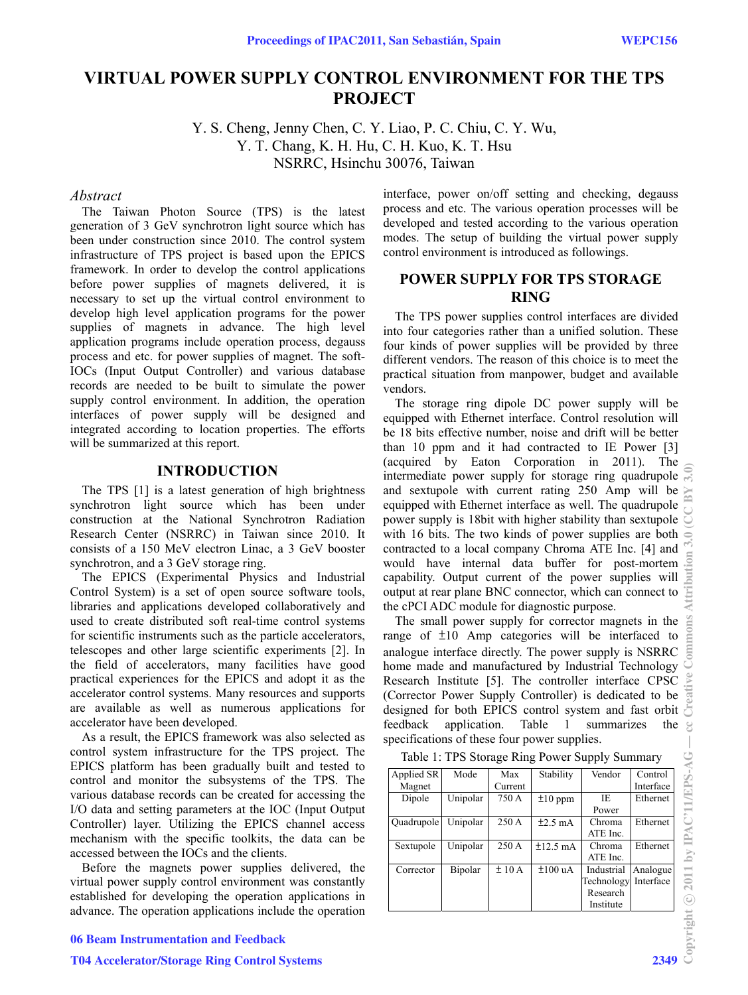# **VIRTUAL POWER SUPPLY CONTROL ENVIRONMENT FOR THE TPS PROJECT**

Y. S. Cheng, Jenny Chen, C. Y. Liao, P. C. Chiu, C. Y. Wu, Y. T. Chang, K. H. Hu, C. H. Kuo, K. T. Hsu NSRRC, Hsinchu 30076, Taiwan

#### *Abstract*

The Taiwan Photon Source (TPS) is the latest generation of 3 GeV synchrotron light source which has been under construction since 2010. The control system infrastructure of TPS project is based upon the EPICS framework. In order to develop the control applications before power supplies of magnets delivered, it is necessary to set up the virtual control environment to develop high level application programs for the power supplies of magnets in advance. The high level application programs include operation process, degauss process and etc. for power supplies of magnet. The soft-IOCs (Input Output Controller) and various database records are needed to be built to simulate the power supply control environment. In addition, the operation interfaces of power supply will be designed and integrated according to location properties. The efforts will be summarized at this report.

#### **INTRODUCTION**

The TPS [1] is a latest generation of high brightness synchrotron light source which has been under construction at the National Synchrotron Radiation Research Center (NSRRC) in Taiwan since 2010. It consists of a 150 MeV electron Linac, a 3 GeV booster synchrotron, and a 3 GeV storage ring.

The EPICS (Experimental Physics and Industrial Control System) is a set of open source software tools, libraries and applications developed collaboratively and used to create distributed soft real-time control systems for scientific instruments such as the particle accelerators, telescopes and other large scientific experiments [2]. In the field of accelerators, many facilities have good practical experiences for the EPICS and adopt it as the accelerator control systems. Many resources and supports are available as well as numerous applications for accelerator have been developed.

As a result, the EPICS framework was also selected as control system infrastructure for the TPS project. The EPICS platform has been gradually built and tested to control and monitor the subsystems of the TPS. The various database records can be created for accessing the I/O data and setting parameters at the IOC (Input Output Controller) layer. Utilizing the EPICS channel access mechanism with the specific toolkits, the data can be accessed between the IOCs and the clients.

Before the magnets power supplies delivered, the virtual power supply control environment was constantly established for developing the operation applications in advance. The operation applications include the operation interface, power on/off setting and checking, degauss process and etc. The various operation processes will be developed and tested according to the various operation modes. The setup of building the virtual power supply control environment is introduced as followings.

## **POWER SUPPLY FOR TPS STORAGE RING**

The TPS power supplies control interfaces are divided into four categories rather than a unified solution. These four kinds of power supplies will be provided by three different vendors. The reason of this choice is to meet the practical situation from manpower, budget and available vendors.

The storage ring dipole DC power supply will be equipped with Ethernet interface. Control resolution will be 18 bits effective number, noise and drift will be better than 10 ppm and it had contracted to IE Power [3] (acquired by Eaton Corporation in 2011). The intermediate power supply for storage ring quadrupole and sextupole with current rating 250 Amp will be equipped with Ethernet interface as well. The quadrupole power supply is 18bit with higher stability than sextupole with 16 bits. The two kinds of power supplies are both contracted to a local company Chroma ATE Inc. [4] and would have internal data buffer for post-mortem capability. Output current of the power supplies will output at rear plane BNC connector, which can connect to the cPCI ADC module for diagnostic purpose.

The small power supply for corrector magnets in the range of ±10 Amp categories will be interfaced to analogue interface directly. The power supply is NSRRC home made and manufactured by Industrial Technology Research Institute [5]. The controller interface CPSC (Corrector Power Supply Controller) is dedicated to be designed for both EPICS control system and fast orbit feedback application. Table 1 summarizes the specifications of these four power supplies.

Table 1: TPS Storage Ring Power Supply Summary

| Applied SR | Mode     | Max     | Stability     | Vendor     | Control   |
|------------|----------|---------|---------------|------------|-----------|
| Magnet     |          | Current |               |            | Interface |
| Dipole     | Unipolar | 750 A   | $\pm 10$ ppm  | IE.        | Ethernet  |
|            |          |         |               | Power      |           |
| Quadrupole | Unipolar | 250 A   | $\pm 2.5$ mA  | Chroma     | Ethernet  |
|            |          |         |               | ATE Inc.   |           |
| Sextupole  | Unipolar | 250 A   | $\pm 12.5$ mA | Chroma     | Ethernet  |
|            |          |         |               | ATE Inc.   |           |
| Corrector  | Bipolar  | ±10A    | $±100$ uA     | Industrial | Analogue  |
|            |          |         |               | Technology | Interface |
|            |          |         |               | Research   |           |
|            |          |         |               | Institute  |           |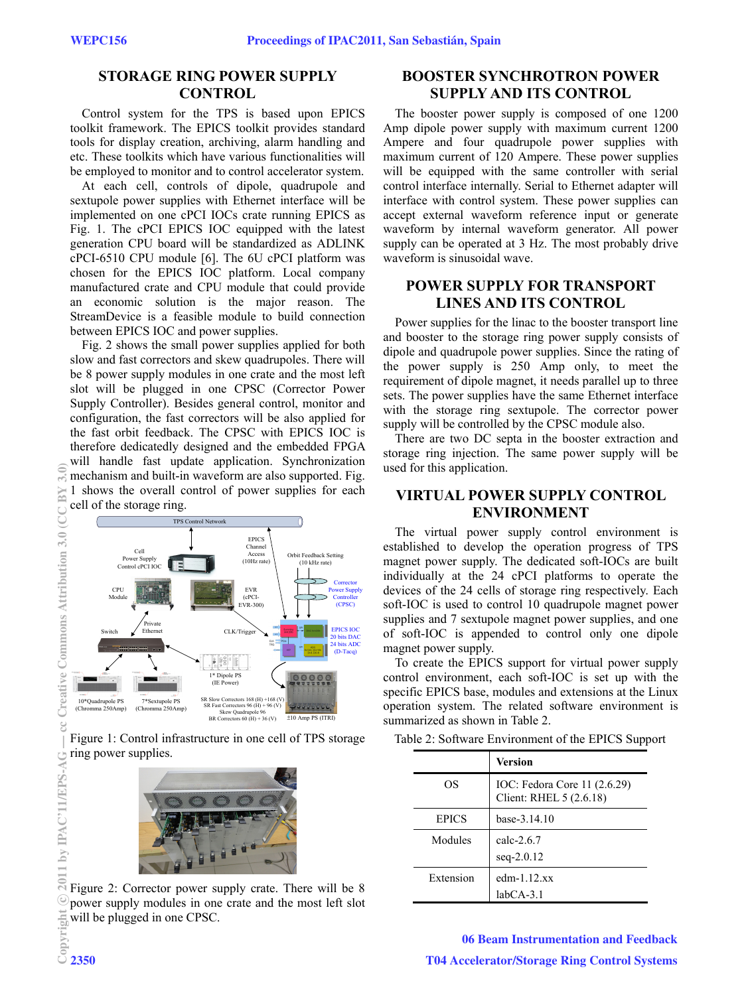## **STORAGE RING POWER SUPPLY CONTROL**

Control system for the TPS is based upon EPICS toolkit framework. The EPICS toolkit provides standard tools for display creation, archiving, alarm handling and etc. These toolkits which have various functionalities will be employed to monitor and to control accelerator system.

At each cell, controls of dipole, quadrupole and sextupole power supplies with Ethernet interface will be implemented on one cPCI IOCs crate running EPICS as Fig. 1. The cPCI EPICS IOC equipped with the latest generation CPU board will be standardized as ADLINK cPCI-6510 CPU module [6]. The 6U cPCI platform was chosen for the EPICS IOC platform. Local company manufactured crate and CPU module that could provide an economic solution is the major reason. The StreamDevice is a feasible module to build connection between EPICS IOC and power supplies.

Fig. 2 shows the small power supplies applied for both slow and fast correctors and skew quadrupoles. There will be 8 power supply modules in one crate and the most left slot will be plugged in one CPSC (Corrector Power Supply Controller). Besides general control, monitor and configuration, the fast correctors will be also applied for the fast orbit feedback. The CPSC with EPICS IOC is therefore dedicatedly designed and the embedded FPGA will handle fast update application. Synchronization mechanism and built-in waveform are also supported. Fig. 1 shows the overall control of power supplies for each cell of the storage ring.







Figure 2: Corrector power supply crate. There will be 8 power supply modules in one crate and the most left slot will be plugged in one CPSC.<br>  $\begin{bmatrix}\n\vdots \\
\vdots \\
\vdots \\
\vdots\n\end{bmatrix}$ <br>
2350

### **BOOSTER SYNCHROTRON POWER SUPPLY AND ITS CONTROL**

The booster power supply is composed of one 1200 Amp dipole power supply with maximum current 1200 Ampere and four quadrupole power supplies with maximum current of 120 Ampere. These power supplies will be equipped with the same controller with serial control interface internally. Serial to Ethernet adapter will interface with control system. These power supplies can accept external waveform reference input or generate waveform by internal waveform generator. All power supply can be operated at 3 Hz. The most probably drive waveform is sinusoidal wave.

### **POWER SUPPLY FOR TRANSPORT LINES AND ITS CONTROL**

Power supplies for the linac to the booster transport line and booster to the storage ring power supply consists of dipole and quadrupole power supplies. Since the rating of the power supply is 250 Amp only, to meet the requirement of dipole magnet, it needs parallel up to three sets. The power supplies have the same Ethernet interface with the storage ring sextupole. The corrector power supply will be controlled by the CPSC module also.

There are two DC septa in the booster extraction and storage ring injection. The same power supply will be used for this application.

### **VIRTUAL POWER SUPPLY CONTROL ENVIRONMENT**

The virtual power supply control environment is established to develop the operation progress of TPS magnet power supply. The dedicated soft-IOCs are built individually at the 24 cPCI platforms to operate the devices of the 24 cells of storage ring respectively. Each soft-IOC is used to control 10 quadrupole magnet power supplies and 7 sextupole magnet power supplies, and one of soft-IOC is appended to control only one dipole magnet power supply.

To create the EPICS support for virtual power supply control environment, each soft-IOC is set up with the specific EPICS base, modules and extensions at the Linux operation system. The related software environment is summarized as shown in Table 2.

Table 2: Software Environment of the EPICS Support

|              | <b>Version</b>                                          |  |  |
|--------------|---------------------------------------------------------|--|--|
| OS           | IOC: Fedora Core 11 (2.6.29)<br>Client: RHEL 5 (2.6.18) |  |  |
| <b>EPICS</b> | base-3.14.10                                            |  |  |
| Modules      | calc- $2.6.7$<br>$seq-2.0.12$                           |  |  |
| Extension    | edm- $1.12$ .xx<br>$labCA-3.1$                          |  |  |

06 Beam Instrumentation and Feedback T04 Accelerator/Storage Ring Control Systems